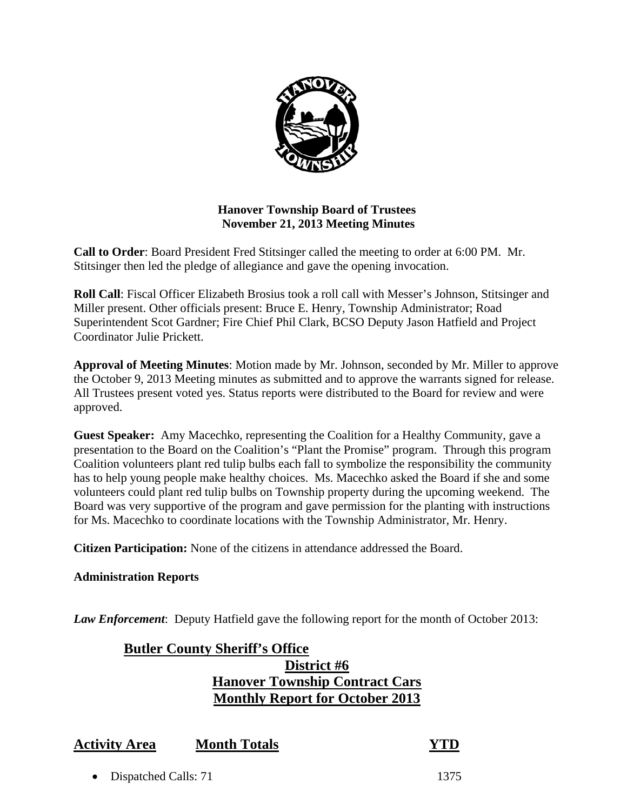

# **Hanover Township Board of Trustees November 21, 2013 Meeting Minutes**

**Call to Order**: Board President Fred Stitsinger called the meeting to order at 6:00 PM. Mr. Stitsinger then led the pledge of allegiance and gave the opening invocation.

**Roll Call**: Fiscal Officer Elizabeth Brosius took a roll call with Messer's Johnson, Stitsinger and Miller present. Other officials present: Bruce E. Henry, Township Administrator; Road Superintendent Scot Gardner; Fire Chief Phil Clark, BCSO Deputy Jason Hatfield and Project Coordinator Julie Prickett.

**Approval of Meeting Minutes**: Motion made by Mr. Johnson, seconded by Mr. Miller to approve the October 9, 2013 Meeting minutes as submitted and to approve the warrants signed for release. All Trustees present voted yes. Status reports were distributed to the Board for review and were approved.

**Guest Speaker:** Amy Macechko, representing the Coalition for a Healthy Community, gave a presentation to the Board on the Coalition's "Plant the Promise" program. Through this program Coalition volunteers plant red tulip bulbs each fall to symbolize the responsibility the community has to help young people make healthy choices. Ms. Macechko asked the Board if she and some volunteers could plant red tulip bulbs on Township property during the upcoming weekend. The Board was very supportive of the program and gave permission for the planting with instructions for Ms. Macechko to coordinate locations with the Township Administrator, Mr. Henry.

**Citizen Participation:** None of the citizens in attendance addressed the Board.

# **Administration Reports**

*Law Enforcement*: Deputy Hatfield gave the following report for the month of October 2013:

# **Butler County Sheriff's Office District #6 Hanover Township Contract Cars Monthly Report for October 2013**

| <b>Activity Area</b> | <b>Month Totals</b> | <b>YTD</b> |
|----------------------|---------------------|------------|
|----------------------|---------------------|------------|

Dispatched Calls: 71 1375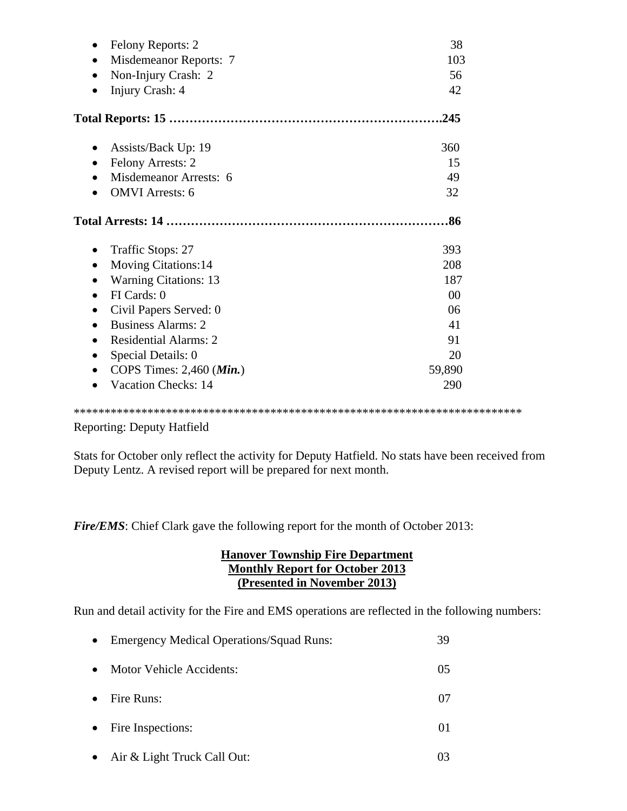| Felony Reports: 2<br>Misdemeanor Reports: 7<br>Non-Injury Crash: 2<br>Injury Crash: 4                                                                                                                                                                                                                                                  | 38<br>103<br>56<br>42                                                        |
|----------------------------------------------------------------------------------------------------------------------------------------------------------------------------------------------------------------------------------------------------------------------------------------------------------------------------------------|------------------------------------------------------------------------------|
|                                                                                                                                                                                                                                                                                                                                        | .245                                                                         |
| Assists/Back Up: 19<br><b>Felony Arrests: 2</b><br>Misdemeanor Arrests: 6<br><b>OMVI</b> Arrests: 6                                                                                                                                                                                                                                    | 360<br>15<br>49<br>32                                                        |
| Traffic Stops: 27<br><b>Moving Citations:14</b><br>$\bullet$<br><b>Warning Citations: 13</b><br>FI Cards: 0<br>$\bullet$<br>Civil Papers Served: 0<br>$\bullet$<br><b>Business Alarms: 2</b><br>$\bullet$<br><b>Residential Alarms: 2</b><br>$\bullet$<br>Special Details: 0<br>COPS Times: 2,460 (Min.)<br><b>Vacation Checks: 14</b> | 393<br>208<br>187<br>0 <sup>0</sup><br>06<br>41<br>91<br>20<br>59,890<br>290 |

\*\*\*\*\*\*\*\*\*\*\*\*\*\*\*\*\*\*\*\*\*\*\*\*\*\*\*\*\*\*\*\*\*\*\*\*\*\*\*\*\*\*\*\*\*\*\*\*\*\*\*\*\*\*\*\*\*\*\*\*\*\*\*\*\*\*\*\*\*\*\*\*\*

Reporting: Deputy Hatfield

Stats for October only reflect the activity for Deputy Hatfield. No stats have been received from Deputy Lentz. A revised report will be prepared for next month.

*Fire/EMS*: Chief Clark gave the following report for the month of October 2013:

#### **Hanover Township Fire Department Monthly Report for October 2013 (Presented in November 2013)**

Run and detail activity for the Fire and EMS operations are reflected in the following numbers:

| $\bullet$ | <b>Emergency Medical Operations/Squad Runs:</b> | 39 |
|-----------|-------------------------------------------------|----|
| $\bullet$ | Motor Vehicle Accidents:                        | 05 |
| $\bullet$ | Fire Runs:                                      | 07 |
|           | • Fire Inspections:                             | 01 |
|           | • Air & Light Truck Call Out:                   | 03 |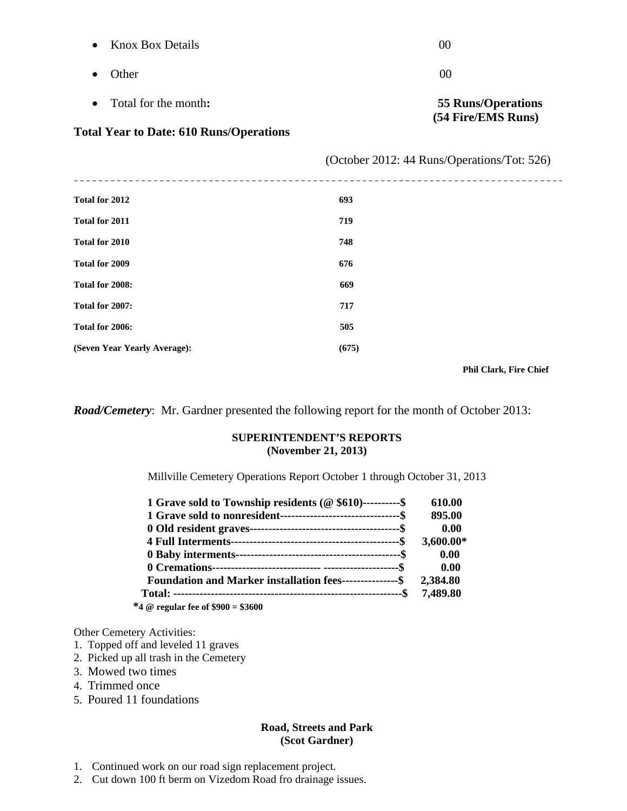| <b>Knox Box Details</b><br>$\bullet$                                 | 00                                          |  |
|----------------------------------------------------------------------|---------------------------------------------|--|
| Other                                                                | 00                                          |  |
| Total for the month:<br>$\bullet$                                    | <b>55 Runs/Operations</b>                   |  |
| (54 Fire/EMS Runs)<br><b>Total Year to Date: 610 Runs/Operations</b> |                                             |  |
|                                                                      | (October 2012: 44 Runs/Operations/Tot: 526) |  |
| __________________________<br>Total for 2012                         | 693                                         |  |
| <b>Total for 2011</b>                                                | 719                                         |  |
| Total for 2010                                                       | 748                                         |  |
| <b>Total for 2009</b>                                                | 676                                         |  |
| Total for 2008:                                                      | 669                                         |  |
| Total for 2007:                                                      | 717                                         |  |
| Total for 2006:                                                      | 505                                         |  |
| (Seven Year Yearly Average):                                         | (675)                                       |  |

 **Phil Clark, Fire Chief** 

*Road/Cemetery*: Mr. Gardner presented the following report for the month of October 2013:

#### **SUPERINTENDENT'S REPORTS (November 21, 2013)**

Millville Cemetery Operations Report October 1 through October 31, 2013

| 1 Grave sold to Township residents ( $@$ \$610)----------\$       | 610.00    |
|-------------------------------------------------------------------|-----------|
| 1 Grave sold to nonresident-----------------------------------\$  | 895.00    |
|                                                                   | 0.00      |
|                                                                   | 3,600.00* |
|                                                                   | 0.00      |
|                                                                   | 0.00      |
| Foundation and Marker installation fees---------------\$ 2,384.80 |           |
|                                                                   | 7,489.80  |
| $* \rightarrow \infty$ , a consequence $* \rightarrow \infty$     |           |

 **\*4 @ regular fee of \$900 = \$3600** 

Other Cemetery Activities:

- 1. Topped off and leveled 11 graves
- 2. Picked up all trash in the Cemetery
- 3. Mowed two times
- 4. Trimmed once
- 5. Poured 11 foundations

#### **Road, Streets and Park (Scot Gardner)**

- 1. Continued work on our road sign replacement project.
- 2. Cut down 100 ft berm on Vizedom Road fro drainage issues.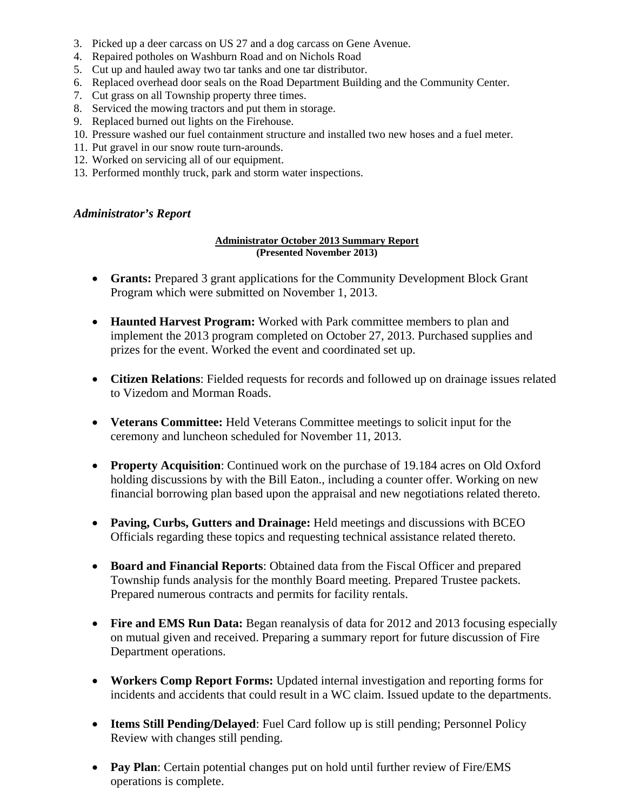- 3. Picked up a deer carcass on US 27 and a dog carcass on Gene Avenue.
- 4. Repaired potholes on Washburn Road and on Nichols Road
- 5. Cut up and hauled away two tar tanks and one tar distributor.
- 6. Replaced overhead door seals on the Road Department Building and the Community Center.
- 7. Cut grass on all Township property three times.
- 8. Serviced the mowing tractors and put them in storage.
- 9. Replaced burned out lights on the Firehouse.
- 10. Pressure washed our fuel containment structure and installed two new hoses and a fuel meter.
- 11. Put gravel in our snow route turn-arounds.
- 12. Worked on servicing all of our equipment.
- 13. Performed monthly truck, park and storm water inspections.

#### *Administrator's Report*

#### **Administrator October 2013 Summary Report (Presented November 2013)**

- **Grants:** Prepared 3 grant applications for the Community Development Block Grant Program which were submitted on November 1, 2013.
- **Haunted Harvest Program:** Worked with Park committee members to plan and implement the 2013 program completed on October 27, 2013. Purchased supplies and prizes for the event. Worked the event and coordinated set up.
- **Citizen Relations**: Fielded requests for records and followed up on drainage issues related to Vizedom and Morman Roads.
- **Veterans Committee:** Held Veterans Committee meetings to solicit input for the ceremony and luncheon scheduled for November 11, 2013.
- **Property Acquisition**: Continued work on the purchase of 19.184 acres on Old Oxford holding discussions by with the Bill Eaton., including a counter offer. Working on new financial borrowing plan based upon the appraisal and new negotiations related thereto.
- **Paving, Curbs, Gutters and Drainage:** Held meetings and discussions with BCEO Officials regarding these topics and requesting technical assistance related thereto.
- **Board and Financial Reports**: Obtained data from the Fiscal Officer and prepared Township funds analysis for the monthly Board meeting. Prepared Trustee packets. Prepared numerous contracts and permits for facility rentals.
- Fire and EMS Run Data: Began reanalysis of data for 2012 and 2013 focusing especially on mutual given and received. Preparing a summary report for future discussion of Fire Department operations.
- **Workers Comp Report Forms:** Updated internal investigation and reporting forms for incidents and accidents that could result in a WC claim. Issued update to the departments.
- **Items Still Pending/Delayed**: Fuel Card follow up is still pending; Personnel Policy Review with changes still pending.
- **Pay Plan**: Certain potential changes put on hold until further review of Fire/EMS operations is complete.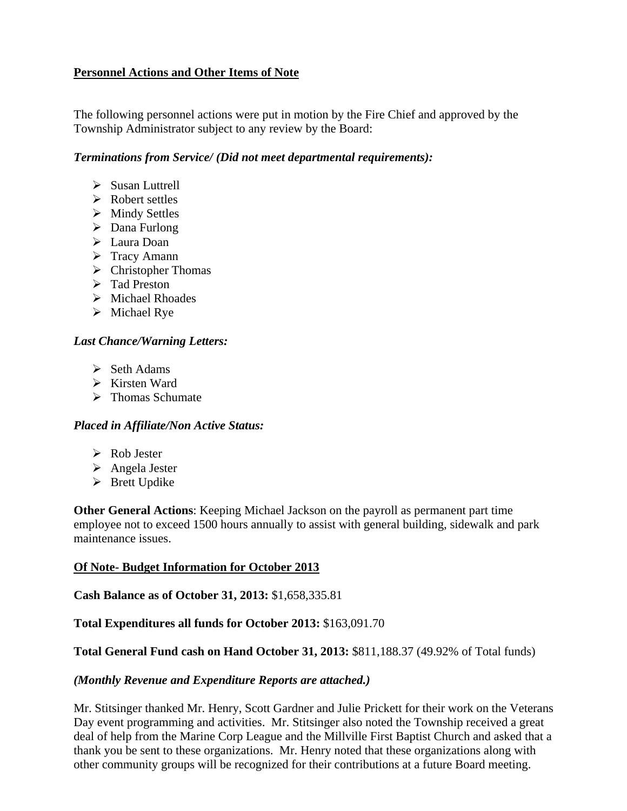# **Personnel Actions and Other Items of Note**

The following personnel actions were put in motion by the Fire Chief and approved by the Township Administrator subject to any review by the Board:

#### *Terminations from Service/ (Did not meet departmental requirements):*

- $\triangleright$  Susan Luttrell
- $\triangleright$  Robert settles
- > Mindy Settles
- > Dana Furlong
- > Laura Doan
- $\triangleright$  Tracy Amann
- $\triangleright$  Christopher Thomas
- > Tad Preston
- $\triangleright$  Michael Rhoades
- $\triangleright$  Michael Rye

# *Last Chance/Warning Letters:*

- $\triangleright$  Seth Adams
- $\triangleright$  Kirsten Ward
- $\triangleright$  Thomas Schumate

# *Placed in Affiliate/Non Active Status:*

- Rob Jester
- Angela Jester
- $\triangleright$  Brett Updike

**Other General Actions**: Keeping Michael Jackson on the payroll as permanent part time employee not to exceed 1500 hours annually to assist with general building, sidewalk and park maintenance issues.

# **Of Note- Budget Information for October 2013**

**Cash Balance as of October 31, 2013:** \$1,658,335.81

# **Total Expenditures all funds for October 2013:** \$163,091.70

# **Total General Fund cash on Hand October 31, 2013:** \$811,188.37 (49.92% of Total funds)

# *(Monthly Revenue and Expenditure Reports are attached.)*

Mr. Stitsinger thanked Mr. Henry, Scott Gardner and Julie Prickett for their work on the Veterans Day event programming and activities. Mr. Stitsinger also noted the Township received a great deal of help from the Marine Corp League and the Millville First Baptist Church and asked that a thank you be sent to these organizations. Mr. Henry noted that these organizations along with other community groups will be recognized for their contributions at a future Board meeting.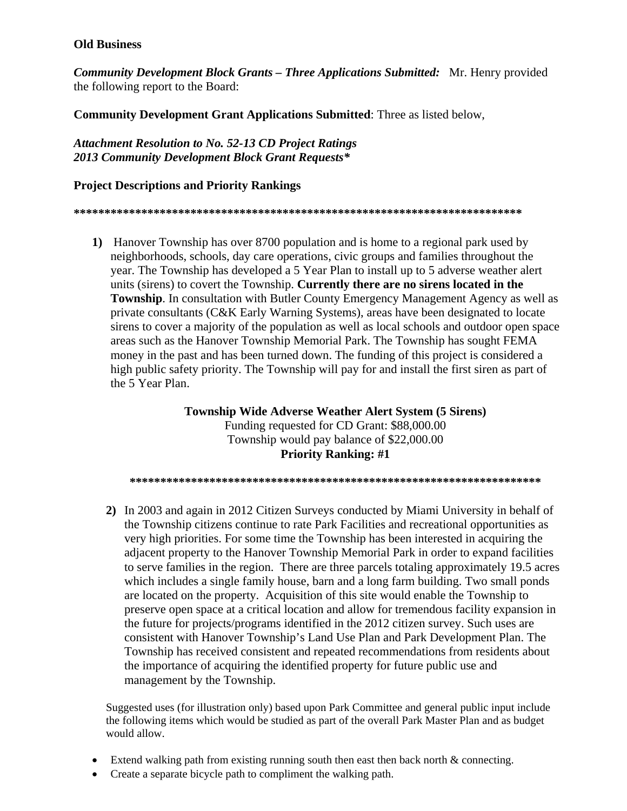#### **Old Business**

*Community Development Block Grants – Three Applications Submitted:* Mr. Henry provided the following report to the Board:

**Community Development Grant Applications Submitted**: Three as listed below,

*Attachment Resolution to No. 52-13 CD Project Ratings 2013 Community Development Block Grant Requests\** 

#### **Project Descriptions and Priority Rankings**

**\*\*\*\*\*\*\*\*\*\*\*\*\*\*\*\*\*\*\*\*\*\*\*\*\*\*\*\*\*\*\*\*\*\*\*\*\*\*\*\*\*\*\*\*\*\*\*\*\*\*\*\*\*\*\*\*\*\*\*\*\*\*\*\*\*\*\*\*\*\*\*\*\*** 

**1)** Hanover Township has over 8700 population and is home to a regional park used by neighborhoods, schools, day care operations, civic groups and families throughout the year. The Township has developed a 5 Year Plan to install up to 5 adverse weather alert units (sirens) to covert the Township. **Currently there are no sirens located in the Township**. In consultation with Butler County Emergency Management Agency as well as private consultants (C&K Early Warning Systems), areas have been designated to locate sirens to cover a majority of the population as well as local schools and outdoor open space areas such as the Hanover Township Memorial Park. The Township has sought FEMA money in the past and has been turned down. The funding of this project is considered a high public safety priority. The Township will pay for and install the first siren as part of the 5 Year Plan.

> **Township Wide Adverse Weather Alert System (5 Sirens)**  Funding requested for CD Grant: \$88,000.00 Township would pay balance of \$22,000.00 **Priority Ranking: #1**

**\*\*\*\*\*\*\*\*\*\*\*\*\*\*\*\*\*\*\*\*\*\*\*\*\*\*\*\*\*\*\*\*\*\*\*\*\*\*\*\*\*\*\*\*\*\*\*\*\*\*\*\*\*\*\*\*\*\*\*\*\*\*\*\*\*\*\*** 

**2)** In 2003 and again in 2012 Citizen Surveys conducted by Miami University in behalf of the Township citizens continue to rate Park Facilities and recreational opportunities as very high priorities. For some time the Township has been interested in acquiring the adjacent property to the Hanover Township Memorial Park in order to expand facilities to serve families in the region. There are three parcels totaling approximately 19.5 acres which includes a single family house, barn and a long farm building. Two small ponds are located on the property. Acquisition of this site would enable the Township to preserve open space at a critical location and allow for tremendous facility expansion in the future for projects/programs identified in the 2012 citizen survey. Such uses are consistent with Hanover Township's Land Use Plan and Park Development Plan. The Township has received consistent and repeated recommendations from residents about the importance of acquiring the identified property for future public use and management by the Township.

Suggested uses (for illustration only) based upon Park Committee and general public input include the following items which would be studied as part of the overall Park Master Plan and as budget would allow.

- Extend walking path from existing running south then east then back north & connecting.
- Create a separate bicycle path to compliment the walking path.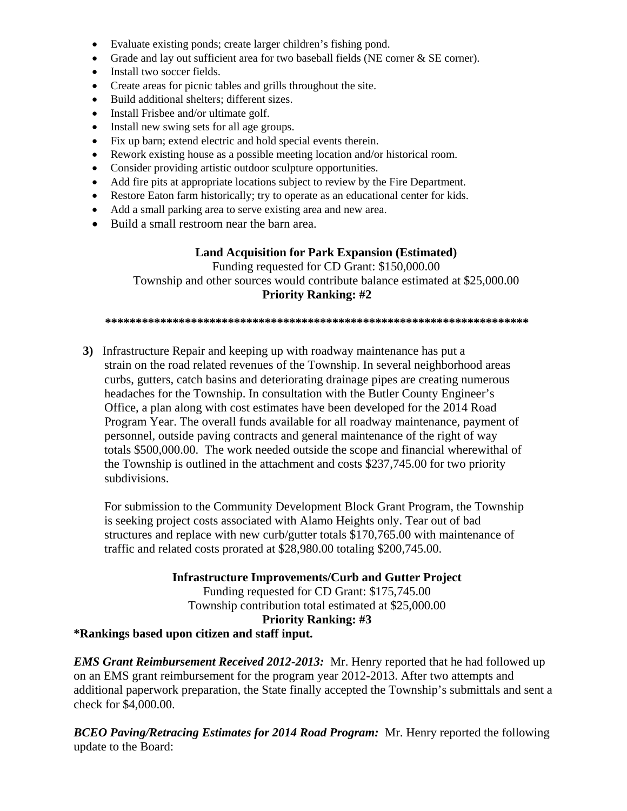- Evaluate existing ponds; create larger children's fishing pond.
- Grade and lay out sufficient area for two baseball fields (NE corner & SE corner).
- Install two soccer fields.
- Create areas for picnic tables and grills throughout the site.
- Build additional shelters; different sizes.
- Install Frisbee and/or ultimate golf.
- Install new swing sets for all age groups.
- Fix up barn; extend electric and hold special events therein.
- Rework existing house as a possible meeting location and/or historical room.
- Consider providing artistic outdoor sculpture opportunities.
- Add fire pits at appropriate locations subject to review by the Fire Department.
- Restore Eaton farm historically; try to operate as an educational center for kids.
- Add a small parking area to serve existing area and new area.
- Build a small restroom near the barn area.

#### **Land Acquisition for Park Expansion (Estimated)**

Funding requested for CD Grant: \$150,000.00 Township and other sources would contribute balance estimated at \$25,000.00 **Priority Ranking: #2** 

**\*\*\*\*\*\*\*\*\*\*\*\*\*\*\*\*\*\*\*\*\*\*\*\*\*\*\*\*\*\*\*\*\*\*\*\*\*\*\*\*\*\*\*\*\*\*\*\*\*\*\*\*\*\*\*\*\*\*\*\*\*\*\*\*\*\*\*\*\*** 

 **3)** Infrastructure Repair and keeping up with roadway maintenance has put a strain on the road related revenues of the Township. In several neighborhood areas curbs, gutters, catch basins and deteriorating drainage pipes are creating numerous headaches for the Township. In consultation with the Butler County Engineer's Office, a plan along with cost estimates have been developed for the 2014 Road Program Year. The overall funds available for all roadway maintenance, payment of personnel, outside paving contracts and general maintenance of the right of way totals \$500,000.00. The work needed outside the scope and financial wherewithal of the Township is outlined in the attachment and costs \$237,745.00 for two priority subdivisions.

 For submission to the Community Development Block Grant Program, the Township is seeking project costs associated with Alamo Heights only. Tear out of bad structures and replace with new curb/gutter totals \$170,765.00 with maintenance of traffic and related costs prorated at \$28,980.00 totaling \$200,745.00.

**Infrastructure Improvements/Curb and Gutter Project** 

Funding requested for CD Grant: \$175,745.00 Township contribution total estimated at \$25,000.00 **Priority Ranking: #3** 

**\*Rankings based upon citizen and staff input.** 

*EMS Grant Reimbursement Received 2012-2013:* Mr. Henry reported that he had followed up on an EMS grant reimbursement for the program year 2012-2013. After two attempts and additional paperwork preparation, the State finally accepted the Township's submittals and sent a check for \$4,000.00.

*BCEO Paving/Retracing Estimates for 2014 Road Program:* Mr. Henry reported the following update to the Board: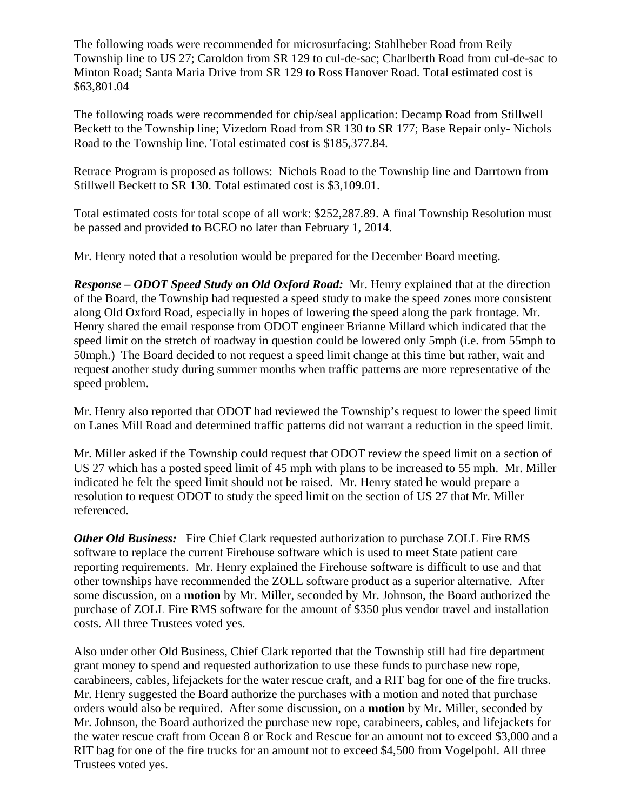The following roads were recommended for microsurfacing: Stahlheber Road from Reily Township line to US 27; Caroldon from SR 129 to cul-de-sac; Charlberth Road from cul-de-sac to Minton Road; Santa Maria Drive from SR 129 to Ross Hanover Road. Total estimated cost is \$63,801.04

The following roads were recommended for chip/seal application: Decamp Road from Stillwell Beckett to the Township line; Vizedom Road from SR 130 to SR 177; Base Repair only- Nichols Road to the Township line. Total estimated cost is \$185,377.84.

Retrace Program is proposed as follows: Nichols Road to the Township line and Darrtown from Stillwell Beckett to SR 130. Total estimated cost is \$3,109.01.

Total estimated costs for total scope of all work: \$252,287.89. A final Township Resolution must be passed and provided to BCEO no later than February 1, 2014.

Mr. Henry noted that a resolution would be prepared for the December Board meeting.

*Response – ODOT Speed Study on Old Oxford Road:* Mr. Henry explained that at the direction of the Board, the Township had requested a speed study to make the speed zones more consistent along Old Oxford Road, especially in hopes of lowering the speed along the park frontage. Mr. Henry shared the email response from ODOT engineer Brianne Millard which indicated that the speed limit on the stretch of roadway in question could be lowered only 5mph (i.e. from 55mph to 50mph.) The Board decided to not request a speed limit change at this time but rather, wait and request another study during summer months when traffic patterns are more representative of the speed problem.

Mr. Henry also reported that ODOT had reviewed the Township's request to lower the speed limit on Lanes Mill Road and determined traffic patterns did not warrant a reduction in the speed limit.

Mr. Miller asked if the Township could request that ODOT review the speed limit on a section of US 27 which has a posted speed limit of 45 mph with plans to be increased to 55 mph. Mr. Miller indicated he felt the speed limit should not be raised. Mr. Henry stated he would prepare a resolution to request ODOT to study the speed limit on the section of US 27 that Mr. Miller referenced.

*Other Old Business:* Fire Chief Clark requested authorization to purchase ZOLL Fire RMS software to replace the current Firehouse software which is used to meet State patient care reporting requirements. Mr. Henry explained the Firehouse software is difficult to use and that other townships have recommended the ZOLL software product as a superior alternative. After some discussion, on a **motion** by Mr. Miller, seconded by Mr. Johnson, the Board authorized the purchase of ZOLL Fire RMS software for the amount of \$350 plus vendor travel and installation costs. All three Trustees voted yes.

Also under other Old Business, Chief Clark reported that the Township still had fire department grant money to spend and requested authorization to use these funds to purchase new rope, carabineers, cables, lifejackets for the water rescue craft, and a RIT bag for one of the fire trucks. Mr. Henry suggested the Board authorize the purchases with a motion and noted that purchase orders would also be required. After some discussion, on a **motion** by Mr. Miller, seconded by Mr. Johnson, the Board authorized the purchase new rope, carabineers, cables, and lifejackets for the water rescue craft from Ocean 8 or Rock and Rescue for an amount not to exceed \$3,000 and a RIT bag for one of the fire trucks for an amount not to exceed \$4,500 from Vogelpohl. All three Trustees voted yes.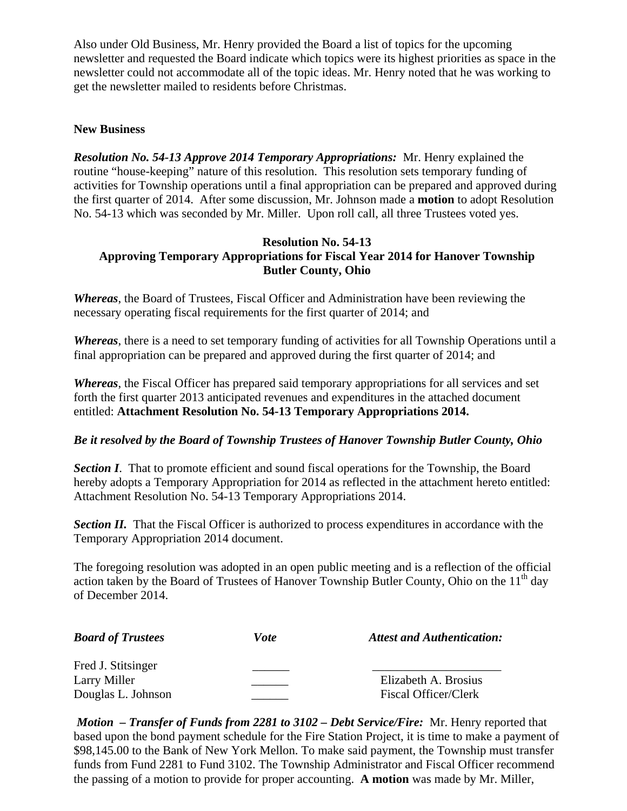Also under Old Business, Mr. Henry provided the Board a list of topics for the upcoming newsletter and requested the Board indicate which topics were its highest priorities as space in the newsletter could not accommodate all of the topic ideas. Mr. Henry noted that he was working to get the newsletter mailed to residents before Christmas.

#### **New Business**

*Resolution No. 54-13 Approve 2014 Temporary Appropriations:* Mr. Henry explained the routine "house-keeping" nature of this resolution. This resolution sets temporary funding of activities for Township operations until a final appropriation can be prepared and approved during the first quarter of 2014. After some discussion, Mr. Johnson made a **motion** to adopt Resolution No. 54-13 which was seconded by Mr. Miller. Upon roll call, all three Trustees voted yes.

# **Resolution No. 54-13 Approving Temporary Appropriations for Fiscal Year 2014 for Hanover Township Butler County, Ohio**

*Whereas*, the Board of Trustees, Fiscal Officer and Administration have been reviewing the necessary operating fiscal requirements for the first quarter of 2014; and

*Whereas*, there is a need to set temporary funding of activities for all Township Operations until a final appropriation can be prepared and approved during the first quarter of 2014; and

*Whereas*, the Fiscal Officer has prepared said temporary appropriations for all services and set forth the first quarter 2013 anticipated revenues and expenditures in the attached document entitled: **Attachment Resolution No. 54-13 Temporary Appropriations 2014.** 

# *Be it resolved by the Board of Township Trustees of Hanover Township Butler County, Ohio*

**Section I**. That to promote efficient and sound fiscal operations for the Township, the Board hereby adopts a Temporary Appropriation for 2014 as reflected in the attachment hereto entitled: Attachment Resolution No. 54-13 Temporary Appropriations 2014.

**Section II.** That the Fiscal Officer is authorized to process expenditures in accordance with the Temporary Appropriation 2014 document.

The foregoing resolution was adopted in an open public meeting and is a reflection of the official action taken by the Board of Trustees of Hanover Township Butler County, Ohio on the  $11<sup>th</sup>$  day of December 2014.

| <b>Board of Trustees</b> | <i>Vote</i> | <b>Attest and Authentication:</b> |
|--------------------------|-------------|-----------------------------------|
| Fred J. Stitsinger       |             |                                   |
| Larry Miller             |             | Elizabeth A. Brosius              |
| Douglas L. Johnson       |             | Fiscal Officer/Clerk              |

 *Motion – Transfer of Funds from 2281 to 3102 – Debt Service/Fire:* Mr. Henry reported that based upon the bond payment schedule for the Fire Station Project, it is time to make a payment of \$98,145.00 to the Bank of New York Mellon. To make said payment, the Township must transfer funds from Fund 2281 to Fund 3102. The Township Administrator and Fiscal Officer recommend the passing of a motion to provide for proper accounting. **A motion** was made by Mr. Miller,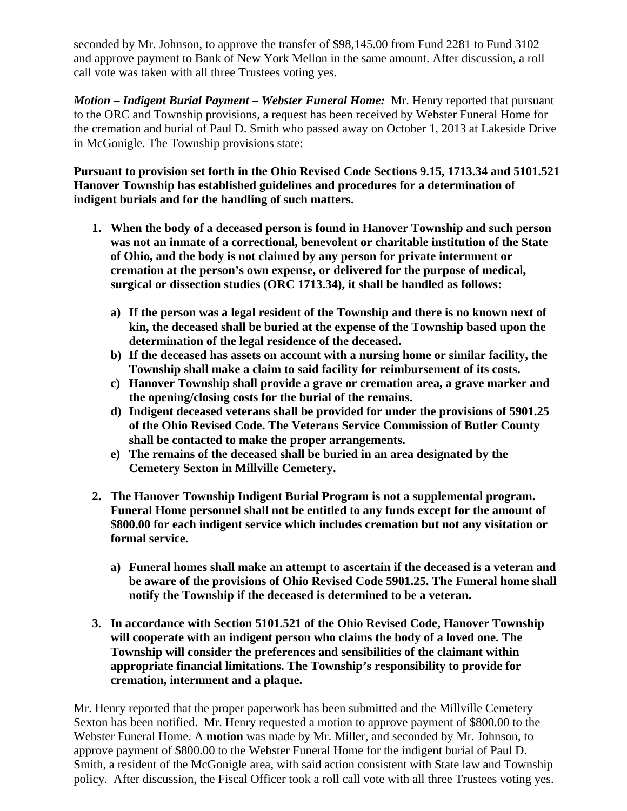seconded by Mr. Johnson, to approve the transfer of \$98,145.00 from Fund 2281 to Fund 3102 and approve payment to Bank of New York Mellon in the same amount. After discussion, a roll call vote was taken with all three Trustees voting yes.

*Motion – Indigent Burial Payment – Webster Funeral Home:* Mr. Henry reported that pursuant to the ORC and Township provisions, a request has been received by Webster Funeral Home for the cremation and burial of Paul D. Smith who passed away on October 1, 2013 at Lakeside Drive in McGonigle. The Township provisions state:

**Pursuant to provision set forth in the Ohio Revised Code Sections 9.15, 1713.34 and 5101.521 Hanover Township has established guidelines and procedures for a determination of indigent burials and for the handling of such matters.** 

- **1. When the body of a deceased person is found in Hanover Township and such person was not an inmate of a correctional, benevolent or charitable institution of the State of Ohio, and the body is not claimed by any person for private internment or cremation at the person's own expense, or delivered for the purpose of medical, surgical or dissection studies (ORC 1713.34), it shall be handled as follows:** 
	- **a) If the person was a legal resident of the Township and there is no known next of kin, the deceased shall be buried at the expense of the Township based upon the determination of the legal residence of the deceased.**
	- **b) If the deceased has assets on account with a nursing home or similar facility, the Township shall make a claim to said facility for reimbursement of its costs.**
	- **c) Hanover Township shall provide a grave or cremation area, a grave marker and the opening/closing costs for the burial of the remains.**
	- **d) Indigent deceased veterans shall be provided for under the provisions of 5901.25 of the Ohio Revised Code. The Veterans Service Commission of Butler County shall be contacted to make the proper arrangements.**
	- **e) The remains of the deceased shall be buried in an area designated by the Cemetery Sexton in Millville Cemetery.**
- **2. The Hanover Township Indigent Burial Program is not a supplemental program. Funeral Home personnel shall not be entitled to any funds except for the amount of \$800.00 for each indigent service which includes cremation but not any visitation or formal service.** 
	- **a) Funeral homes shall make an attempt to ascertain if the deceased is a veteran and be aware of the provisions of Ohio Revised Code 5901.25. The Funeral home shall notify the Township if the deceased is determined to be a veteran.**
- **3. In accordance with Section 5101.521 of the Ohio Revised Code, Hanover Township will cooperate with an indigent person who claims the body of a loved one. The Township will consider the preferences and sensibilities of the claimant within appropriate financial limitations. The Township's responsibility to provide for cremation, internment and a plaque.**

Mr. Henry reported that the proper paperwork has been submitted and the Millville Cemetery Sexton has been notified. Mr. Henry requested a motion to approve payment of \$800.00 to the Webster Funeral Home. A **motion** was made by Mr. Miller, and seconded by Mr. Johnson, to approve payment of \$800.00 to the Webster Funeral Home for the indigent burial of Paul D. Smith, a resident of the McGonigle area, with said action consistent with State law and Township policy. After discussion, the Fiscal Officer took a roll call vote with all three Trustees voting yes.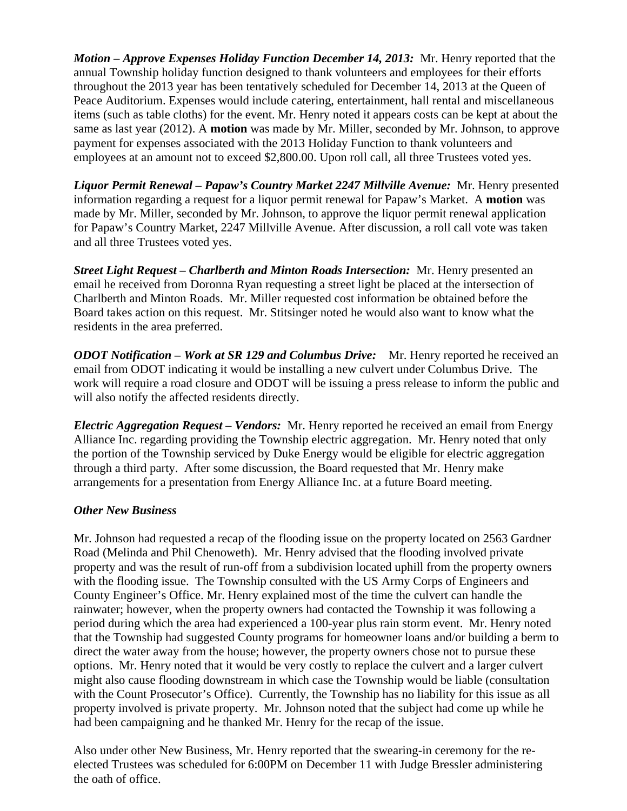*Motion – Approve Expenses Holiday Function December 14, 2013:* Mr. Henry reported that the annual Township holiday function designed to thank volunteers and employees for their efforts throughout the 2013 year has been tentatively scheduled for December 14, 2013 at the Queen of Peace Auditorium. Expenses would include catering, entertainment, hall rental and miscellaneous items (such as table cloths) for the event. Mr. Henry noted it appears costs can be kept at about the same as last year (2012). A **motion** was made by Mr. Miller, seconded by Mr. Johnson, to approve payment for expenses associated with the 2013 Holiday Function to thank volunteers and employees at an amount not to exceed \$2,800.00. Upon roll call, all three Trustees voted yes.

*Liquor Permit Renewal – Papaw's Country Market 2247 Millville Avenue:* Mr. Henry presented information regarding a request for a liquor permit renewal for Papaw's Market. A **motion** was made by Mr. Miller, seconded by Mr. Johnson, to approve the liquor permit renewal application for Papaw's Country Market, 2247 Millville Avenue. After discussion, a roll call vote was taken and all three Trustees voted yes.

*Street Light Request – Charlberth and Minton Roads Intersection:* Mr. Henry presented an email he received from Doronna Ryan requesting a street light be placed at the intersection of Charlberth and Minton Roads. Mr. Miller requested cost information be obtained before the Board takes action on this request. Mr. Stitsinger noted he would also want to know what the residents in the area preferred.

*ODOT Notification – Work at SR 129 and Columbus Drive:* Mr. Henry reported he received an email from ODOT indicating it would be installing a new culvert under Columbus Drive. The work will require a road closure and ODOT will be issuing a press release to inform the public and will also notify the affected residents directly.

*Electric Aggregation Request – Vendors:* Mr. Henry reported he received an email from Energy Alliance Inc. regarding providing the Township electric aggregation. Mr. Henry noted that only the portion of the Township serviced by Duke Energy would be eligible for electric aggregation through a third party. After some discussion, the Board requested that Mr. Henry make arrangements for a presentation from Energy Alliance Inc. at a future Board meeting.

# *Other New Business*

Mr. Johnson had requested a recap of the flooding issue on the property located on 2563 Gardner Road (Melinda and Phil Chenoweth). Mr. Henry advised that the flooding involved private property and was the result of run-off from a subdivision located uphill from the property owners with the flooding issue. The Township consulted with the US Army Corps of Engineers and County Engineer's Office. Mr. Henry explained most of the time the culvert can handle the rainwater; however, when the property owners had contacted the Township it was following a period during which the area had experienced a 100-year plus rain storm event. Mr. Henry noted that the Township had suggested County programs for homeowner loans and/or building a berm to direct the water away from the house; however, the property owners chose not to pursue these options. Mr. Henry noted that it would be very costly to replace the culvert and a larger culvert might also cause flooding downstream in which case the Township would be liable (consultation with the Count Prosecutor's Office). Currently, the Township has no liability for this issue as all property involved is private property. Mr. Johnson noted that the subject had come up while he had been campaigning and he thanked Mr. Henry for the recap of the issue.

Also under other New Business, Mr. Henry reported that the swearing-in ceremony for the reelected Trustees was scheduled for 6:00PM on December 11 with Judge Bressler administering the oath of office.